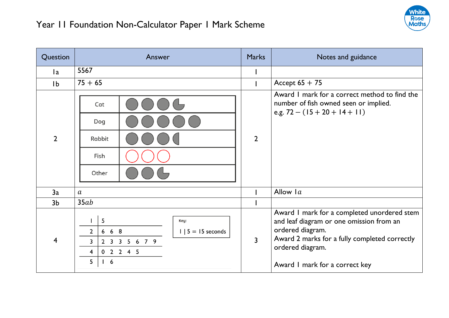

| Question       | Answer                                                                                                                                                           | <b>Marks</b>   | Notes and guidance                                                                                                                                                                                                 |
|----------------|------------------------------------------------------------------------------------------------------------------------------------------------------------------|----------------|--------------------------------------------------------------------------------------------------------------------------------------------------------------------------------------------------------------------|
| l a            | 5567                                                                                                                                                             |                |                                                                                                                                                                                                                    |
| 1 <sub>b</sub> | $75 + 65$                                                                                                                                                        |                | Accept $65 + 75$                                                                                                                                                                                                   |
| $\overline{2}$ | Cat<br>Dog<br>Rabbit<br>Fish<br>Other                                                                                                                            | $\overline{2}$ | Award I mark for a correct method to find the<br>number of fish owned seen or implied.<br>e.g. $72 - (15 + 20 + 14 + 11)$                                                                                          |
| 3a             | $\boldsymbol{a}$                                                                                                                                                 |                | Allow $1a$                                                                                                                                                                                                         |
| 3 <sub>b</sub> | 35ab                                                                                                                                                             |                |                                                                                                                                                                                                                    |
| 4              | 5<br>Key:<br>$668$<br>$\overline{2}$<br>$1 \mid 5 = 15$ seconds<br>3<br>2 3 3 5 6 7 9<br>0 2 2 4 5<br>$\overline{\mathbf{4}}$<br>5<br>$\overline{\phantom{a}}$ 6 | $\overline{3}$ | Award I mark for a completed unordered stem<br>and leaf diagram or one omission from an<br>ordered diagram.<br>Award 2 marks for a fully completed correctly<br>ordered diagram.<br>Award I mark for a correct key |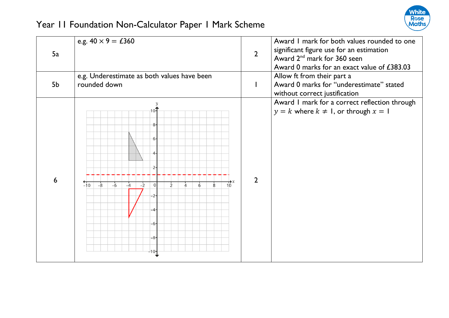

|    | e.g. $40 \times 9 = \text{\pounds}360$                                      |                | Award I mark for both values rounded to one                                            |
|----|-----------------------------------------------------------------------------|----------------|----------------------------------------------------------------------------------------|
| 5a |                                                                             | $\overline{2}$ | significant figure use for an estimation                                               |
|    |                                                                             |                | Award 2 <sup>nd</sup> mark for 360 seen<br>Award 0 marks for an exact value of £383.03 |
|    | e.g. Underestimate as both values have been                                 |                | Allow ft from their part a                                                             |
| 5b | rounded down                                                                | $\mathbf{I}$   | Award 0 marks for "underestimate" stated                                               |
|    |                                                                             |                | without correct justification                                                          |
|    |                                                                             |                | Award I mark for a correct reflection through                                          |
|    | 10-                                                                         |                | $y = k$ where $k \neq 1$ , or through $x = 1$                                          |
|    | 8-                                                                          |                |                                                                                        |
|    |                                                                             |                |                                                                                        |
|    | 6-                                                                          |                |                                                                                        |
|    |                                                                             |                |                                                                                        |
|    |                                                                             |                |                                                                                        |
|    |                                                                             |                |                                                                                        |
| 6  | $-10$<br>$-8$<br>$10^{\circ}$<br>$-6$<br>$\Omega$<br>8<br>$-4$<br>$-2$<br>6 | $\overline{2}$ |                                                                                        |
|    | -2-                                                                         |                |                                                                                        |
|    |                                                                             |                |                                                                                        |
|    |                                                                             |                |                                                                                        |
|    | -6-                                                                         |                |                                                                                        |
|    |                                                                             |                |                                                                                        |
|    | -8-                                                                         |                |                                                                                        |
|    | -10                                                                         |                |                                                                                        |
|    |                                                                             |                |                                                                                        |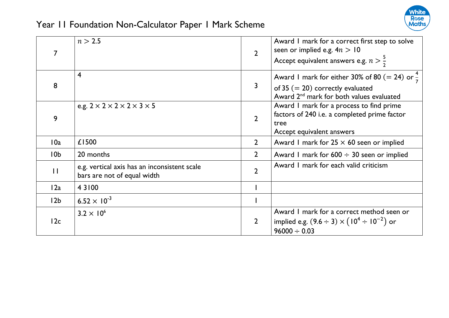

|                 | n > 2.5                                                                     | $\overline{2}$ | Award I mark for a correct first step to solve<br>seen or implied e.g. $4n > 10$<br>Accept equivalent answers e.g. $n > \frac{5}{2}$                    |
|-----------------|-----------------------------------------------------------------------------|----------------|---------------------------------------------------------------------------------------------------------------------------------------------------------|
| 8               | $\overline{4}$                                                              | 3              | Award I mark for either 30% of 80 (= 24) or $\frac{4}{7}$<br>of 35 $(= 20)$ correctly evaluated<br>Award 2 <sup>nd</sup> mark for both values evaluated |
| 9               | e.g. $2 \times 2 \times 2 \times 2 \times 3 \times 5$                       | $\overline{2}$ | Award I mark for a process to find prime<br>factors of 240 i.e. a completed prime factor<br>tree<br>Accept equivalent answers                           |
| 10a             | £1500                                                                       | $\overline{2}$ | Award 1 mark for $25 \times 60$ seen or implied                                                                                                         |
| 10 <sub>b</sub> | 20 months                                                                   | $\overline{2}$ | Award I mark for $600 \div 30$ seen or implied                                                                                                          |
| $\mathbf{H}$    | e.g. vertical axis has an inconsistent scale<br>bars are not of equal width | $\overline{2}$ | Award I mark for each valid criticism                                                                                                                   |
| 12a             | 4 3 1 0 0                                                                   |                |                                                                                                                                                         |
| 12 <sub>b</sub> | $6.52 \times 10^{-3}$                                                       |                |                                                                                                                                                         |
| 12c             | $3.2 \times 10^6$                                                           | $\overline{2}$ | Award I mark for a correct method seen or<br>implied e.g. $(9.6 \div 3) \times (10^4 \div 10^{-2})$ or<br>$96000 \div 0.03$                             |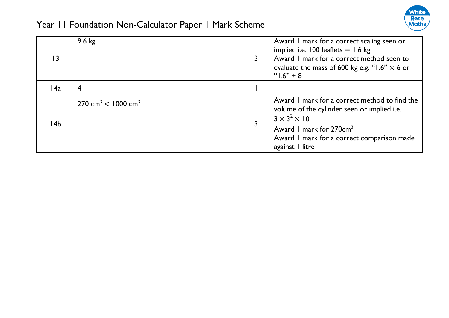

| 13   | $9.6 \text{ kg}$                          | Award I mark for a correct scaling seen or<br>implied i.e. $100$ leaflets = 1.6 kg<br>Award I mark for a correct method seen to<br>evaluate the mass of 600 kg e.g. "1.6" $\times$ 6 or<br>" $1.6$ " + 8                         |
|------|-------------------------------------------|----------------------------------------------------------------------------------------------------------------------------------------------------------------------------------------------------------------------------------|
| l 4a | 4                                         |                                                                                                                                                                                                                                  |
| l 4b | $270 \text{ cm}^3$ < 1000 cm <sup>3</sup> | Award I mark for a correct method to find the<br>volume of the cylinder seen or implied i.e.<br>$3 \times 3^2 \times 10$<br>Award 1 mark for 270cm <sup>3</sup><br>Award I mark for a correct comparison made<br>against I litre |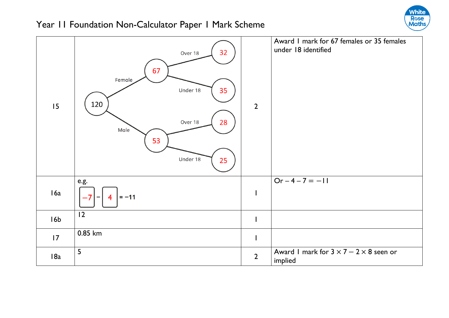

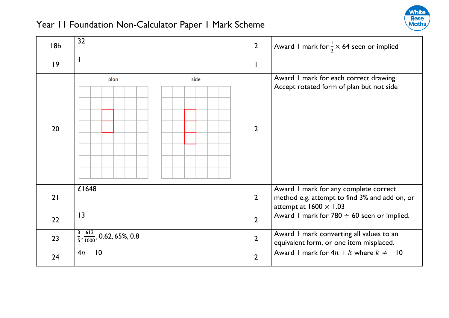

| 18 <sub>b</sub> | 32                                                  | $\overline{2}$ | Award I mark for $\frac{1}{2} \times 64$ seen or implied                                                                |
|-----------------|-----------------------------------------------------|----------------|-------------------------------------------------------------------------------------------------------------------------|
| 9               |                                                     |                |                                                                                                                         |
| 20              | side<br>plan                                        | $\overline{2}$ | Award I mark for each correct drawing.<br>Accept rotated form of plan but not side                                      |
| 21              | £1648                                               | $\overline{2}$ | Award I mark for any complete correct<br>method e.g. attempt to find 3% and add on, or<br>attempt at $1600 \times 1.03$ |
| 22              | $\overline{13}$                                     | $\overline{2}$ | Award I mark for $780 \div 60$ seen or implied.                                                                         |
| 23              | $\frac{3}{5}$ , $\frac{612}{1000}$ , 0.62, 65%, 0.8 | $\overline{2}$ | Award I mark converting all values to an<br>equivalent form, or one item misplaced.                                     |
| 24              | $4n - 10$                                           | $\overline{2}$ | Award 1 mark for $4n + k$ where $k \neq -10$                                                                            |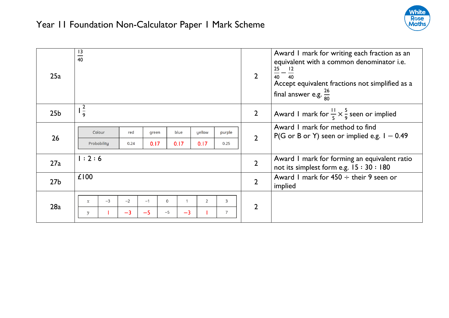

| 25a             | $\frac{13}{40}$                                                                                                                               | $\overline{2}$ | Award I mark for writing each fraction as an<br>equivalent with a common denominator i.e.<br>25<br>$\frac{25}{40} - \frac{12}{40}$<br>Accept equivalent fractions not simplified as a<br>final answer e.g. $\frac{26}{80}$ |
|-----------------|-----------------------------------------------------------------------------------------------------------------------------------------------|----------------|----------------------------------------------------------------------------------------------------------------------------------------------------------------------------------------------------------------------------|
| 25 <sub>b</sub> | $rac{2}{9}$                                                                                                                                   | $\overline{2}$ | Award I mark for $\frac{11}{5} \times \frac{5}{9}$ seen or implied                                                                                                                                                         |
| 26              | Colour<br>blue<br>yellow<br>red<br>purple<br>green<br>0.17<br>0.17<br>Probability<br>0.24<br>0.17<br>0.25                                     | $\overline{2}$ | Award I mark for method to find<br>P(G or B or Y) seen or implied e.g. $1 - 0.49$                                                                                                                                          |
| 27a             | 1:2:6                                                                                                                                         | $\overline{2}$ | Award I mark for forming an equivalent ratio<br>not its simplest form e.g. $15:30:180$                                                                                                                                     |
| 27 <sub>b</sub> | £100                                                                                                                                          | $\overline{2}$ | Award I mark for $450 \div$ their 9 seen or<br>implied                                                                                                                                                                     |
| 28a             | $-3$<br>$-2$<br>$\overline{2}$<br>3<br>$-1$<br>$\mathbf 0$<br>$\mathbf{x}$<br>$-5$<br>$-3$<br>$-3$<br>$\overline{7}$<br>$-5$<br>$\mathcal{V}$ | $\overline{2}$ |                                                                                                                                                                                                                            |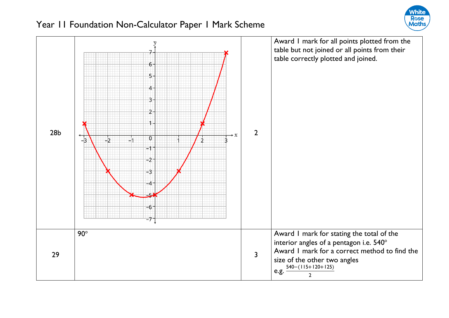